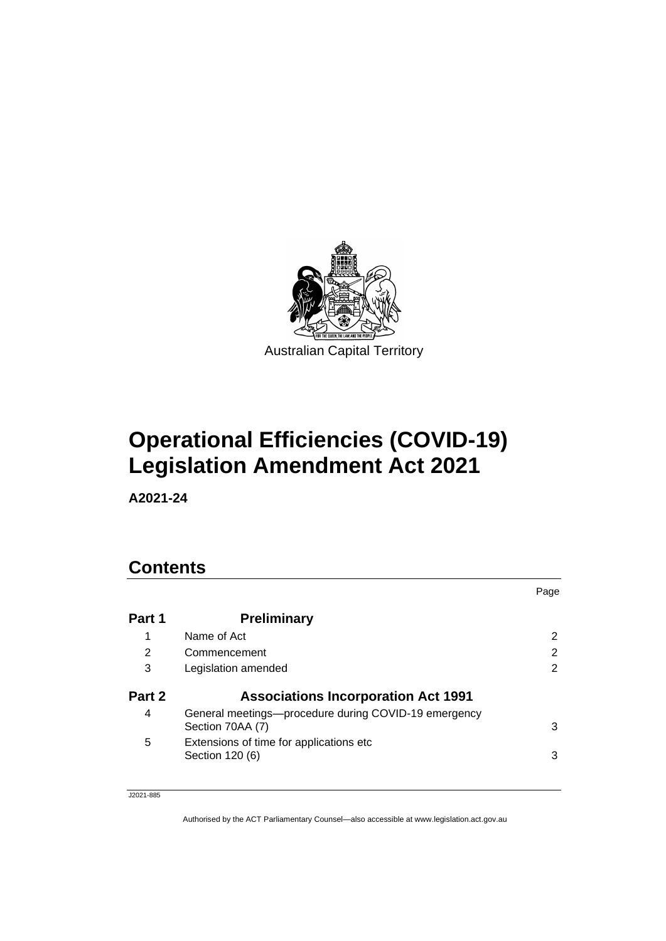

# **Operational Efficiencies (COVID-19) Legislation Amendment Act 2021**

**A2021-24**

# **Contents**

|        |                                                                          | Page |
|--------|--------------------------------------------------------------------------|------|
| Part 1 | <b>Preliminary</b>                                                       |      |
|        | Name of Act                                                              | 2    |
| 2      | Commencement                                                             | 2    |
| 3      | Legislation amended                                                      | 2    |
| Part 2 | <b>Associations Incorporation Act 1991</b>                               |      |
| 4      | General meetings—procedure during COVID-19 emergency<br>Section 70AA (7) | 3    |
| 5      | Extensions of time for applications etc.<br>Section 120 (6)              | 3    |
|        |                                                                          |      |

J2021-885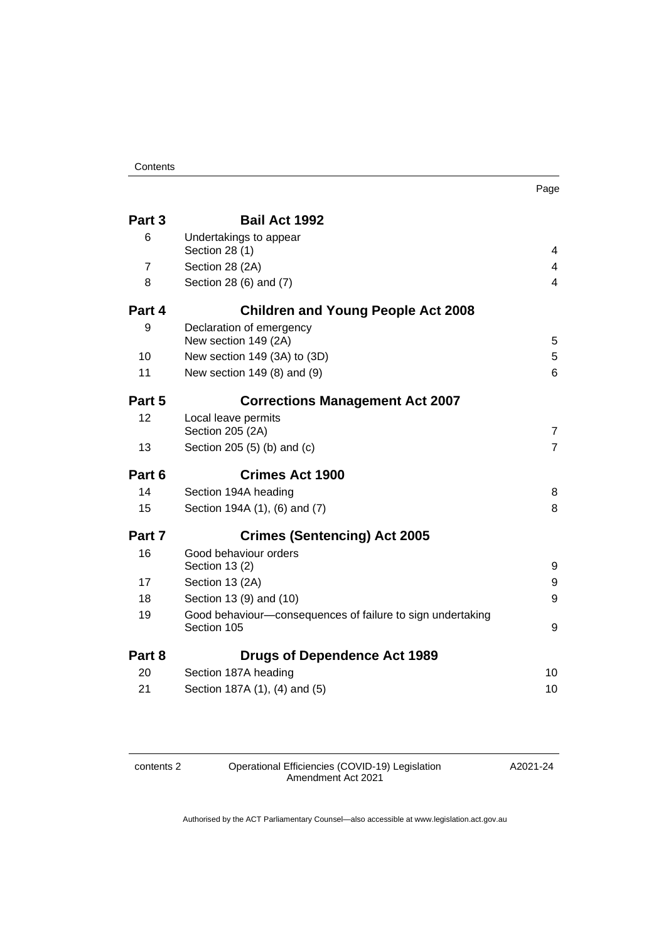#### **Contents**

| Part 3         | <b>Bail Act 1992</b>                                                      |                         |
|----------------|---------------------------------------------------------------------------|-------------------------|
| 6              | Undertakings to appear<br>Section 28 (1)                                  | 4                       |
| $\overline{7}$ | Section 28 (2A)                                                           | 4                       |
| 8              | Section 28 (6) and (7)                                                    | $\overline{\mathbf{4}}$ |
| Part 4         | <b>Children and Young People Act 2008</b>                                 |                         |
| 9              | Declaration of emergency<br>New section 149 (2A)                          | 5                       |
| 10             | New section 149 (3A) to (3D)                                              | 5                       |
| 11             | New section 149 (8) and (9)                                               | 6                       |
| Part 5         | <b>Corrections Management Act 2007</b>                                    |                         |
| 12             | Local leave permits<br>Section 205 (2A)                                   | $\overline{7}$          |
| 13             | Section 205 (5) (b) and (c)                                               | $\overline{7}$          |
| Part 6         | <b>Crimes Act 1900</b>                                                    |                         |
| 14             | Section 194A heading                                                      | 8                       |
| 15             | Section 194A (1), (6) and (7)                                             | 8                       |
| Part 7         | <b>Crimes (Sentencing) Act 2005</b>                                       |                         |
| 16             | Good behaviour orders<br>Section 13 (2)                                   | 9                       |
| 17             | Section 13 (2A)                                                           | 9                       |
| 18             | Section 13 (9) and (10)                                                   | 9                       |
| 19             | Good behaviour-consequences of failure to sign undertaking<br>Section 105 | 9                       |
| Part 8         | <b>Drugs of Dependence Act 1989</b>                                       |                         |
| 20             | Section 187A heading                                                      | 10                      |
| 21             | Section 187A (1), (4) and (5)                                             | 10                      |

contents 2 Operational Efficiencies (COVID-19) Legislation Amendment Act 2021

A2021-24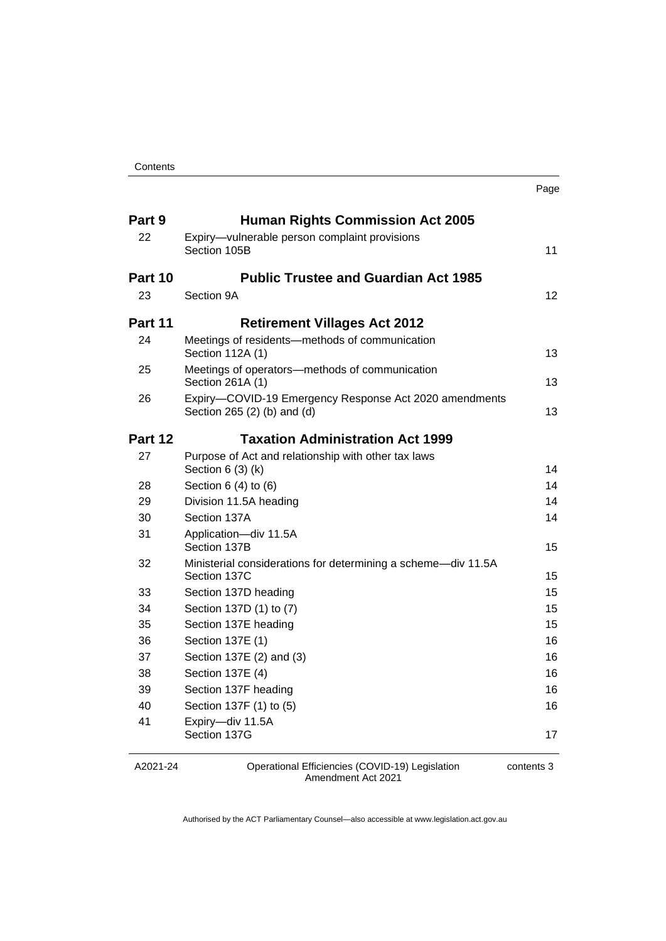#### **Contents**

| . .<br>×<br>۰.<br>×<br>۰.<br>× |
|--------------------------------|
|--------------------------------|

| Part 9<br>22 | <b>Human Rights Commission Act 2005</b><br>Expiry-vulnerable person complaint provisions |    |
|--------------|------------------------------------------------------------------------------------------|----|
|              | Section 105B                                                                             | 11 |
| Part 10      | <b>Public Trustee and Guardian Act 1985</b>                                              |    |
| 23           | Section 9A                                                                               | 12 |
| Part 11      | <b>Retirement Villages Act 2012</b>                                                      |    |
| 24           | Meetings of residents-methods of communication<br>Section 112A (1)                       | 13 |
| 25           | Meetings of operators-methods of communication<br>Section 261A (1)                       | 13 |
| 26           | Expiry-COVID-19 Emergency Response Act 2020 amendments<br>Section 265 (2) (b) and (d)    | 13 |
| Part 12      | <b>Taxation Administration Act 1999</b>                                                  |    |
| 27           | Purpose of Act and relationship with other tax laws<br>Section $6(3)(k)$                 | 14 |
| 28           | Section $6(4)$ to $(6)$                                                                  | 14 |
| 29           | Division 11.5A heading                                                                   | 14 |
| 30           | Section 137A                                                                             | 14 |
| 31           | Application-div 11.5A<br>Section 137B                                                    | 15 |
| 32           | Ministerial considerations for determining a scheme-div 11.5A<br>Section 137C            | 15 |
| 33           | Section 137D heading                                                                     | 15 |
| 34           | Section 137D (1) to (7)                                                                  | 15 |
| 35           | Section 137E heading                                                                     | 15 |
| 36           | Section 137E (1)                                                                         | 16 |
| 37           | Section 137E (2) and (3)                                                                 | 16 |
| 38           | Section 137E (4)                                                                         | 16 |
| 39           | Section 137F heading                                                                     | 16 |
| 40           | Section 137F (1) to (5)                                                                  | 16 |
| 41           | Expiry-div 11.5A<br>Section 137G                                                         | 17 |
|              |                                                                                          |    |

A2021-24

Operational Efficiencies (COVID-19) Legislation Amendment Act 2021

contents 3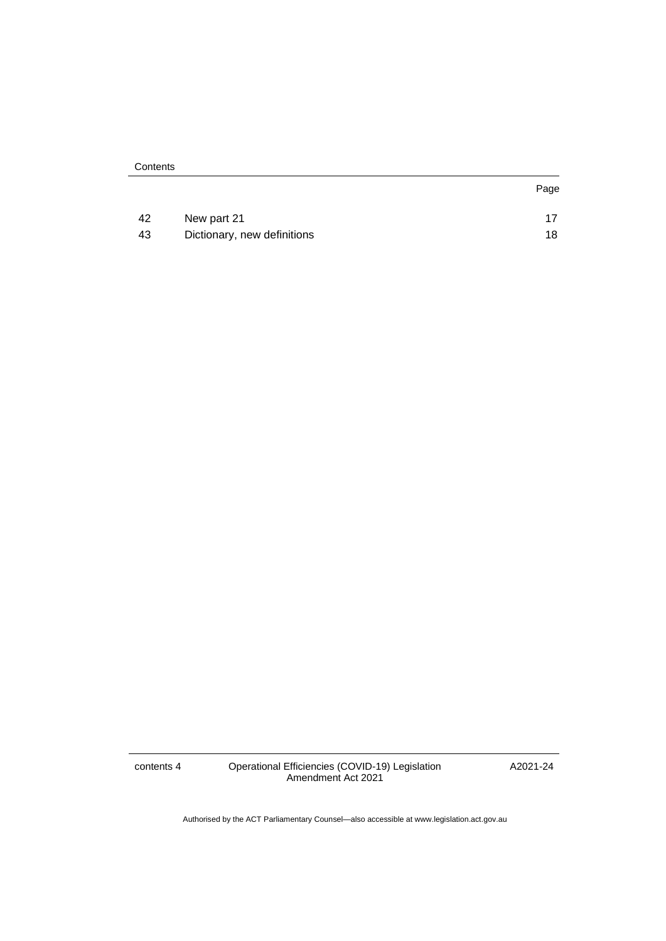| Contents |
|----------|
|----------|

| 42 | New part 21                 |    |
|----|-----------------------------|----|
| 43 | Dictionary, new definitions | 18 |

contents 4 Operational Efficiencies (COVID-19) Legislation Amendment Act 2021

A2021-24

Page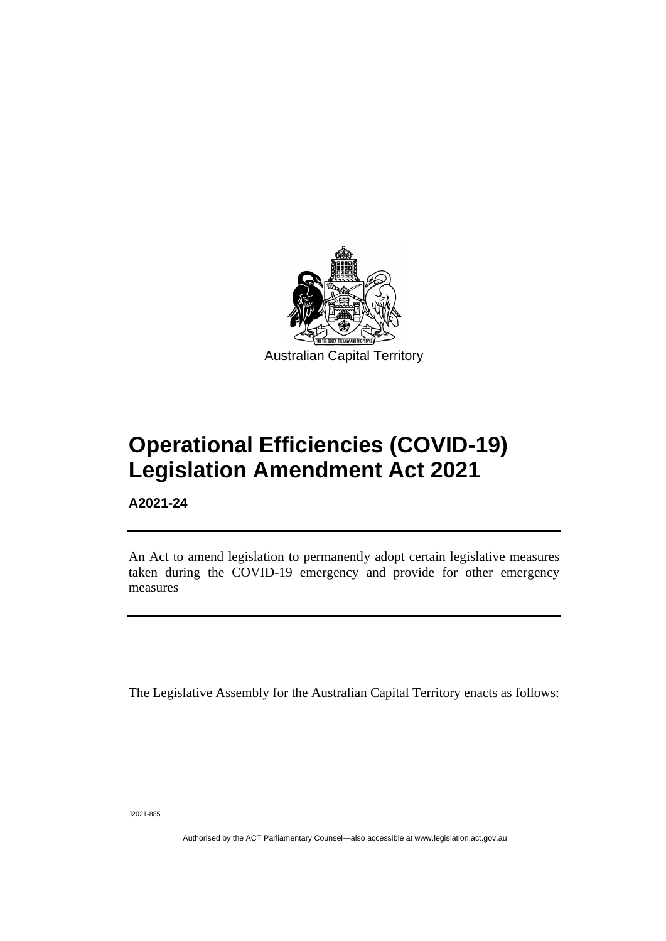

# **Operational Efficiencies (COVID-19) Legislation Amendment Act 2021**

**A2021-24**

֡֡֡

An Act to amend legislation to permanently adopt certain legislative measures taken during the COVID-19 emergency and provide for other emergency measures

The Legislative Assembly for the Australian Capital Territory enacts as follows:

J2021-885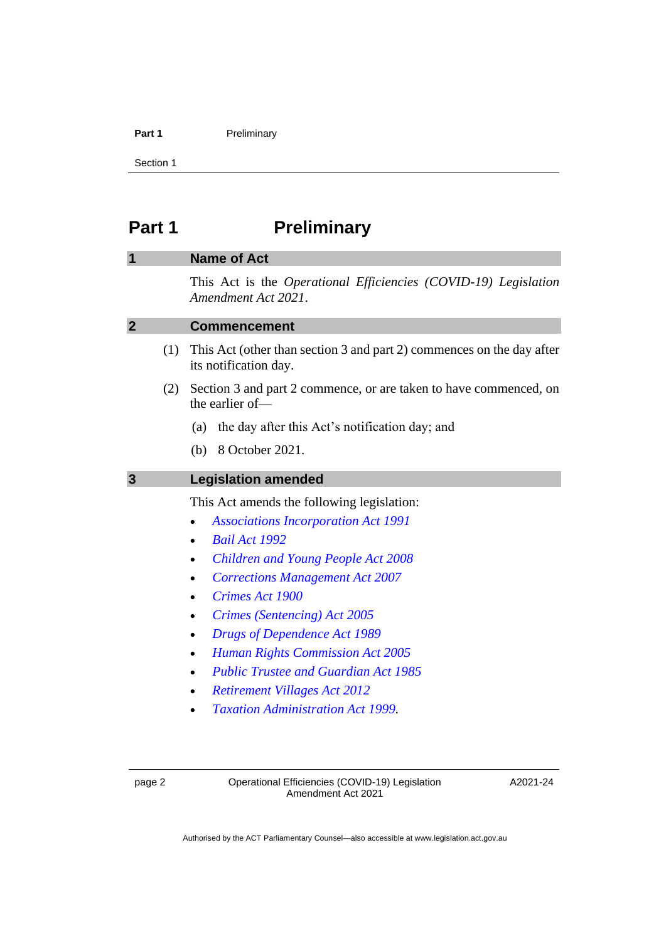#### **Part 1** Preliminary

Section 1

# <span id="page-5-0"></span>**Part 1 Preliminary**

# <span id="page-5-1"></span>**1 Name of Act**

This Act is the *Operational Efficiencies (COVID-19) Legislation Amendment Act 2021*.

### <span id="page-5-2"></span>**2 Commencement**

- (1) This Act (other than section 3 and part 2) commences on the day after its notification day.
- (2) Section 3 and part 2 commence, or are taken to have commenced, on the earlier of—
	- (a) the day after this Act's notification day; and
	- (b) 8 October 2021.

#### <span id="page-5-3"></span>**3 Legislation amended**

This Act amends the following legislation:

- *[Associations Incorporation Act 1991](http://www.legislation.act.gov.au/a/1991-46)*
- *[Bail Act 1992](http://www.legislation.act.gov.au/a/1992-8)*
- *[Children and Young People Act 2008](http://www.legislation.act.gov.au/a/2008-19)*
- *[Corrections Management Act 2007](http://www.legislation.act.gov.au/a/2007-15)*
- *[Crimes Act 1900](http://www.legislation.act.gov.au/a/1900-40)*
- *[Crimes \(Sentencing\) Act 2005](http://www.legislation.act.gov.au/a/2005-58)*
- *[Drugs of Dependence Act 1989](http://www.legislation.act.gov.au/a/alt_a1989-11co)*
- *[Human Rights Commission Act 2005](http://www.legislation.act.gov.au/a/2005-40)*
- *[Public Trustee and Guardian Act 1985](http://www.legislation.act.gov.au/a/1985-8)*
- *[Retirement Villages Act 2012](http://www.legislation.act.gov.au/a/2012-38)*
- *[Taxation Administration Act 1999.](http://www.legislation.act.gov.au/a/1999-4)*

A2021-24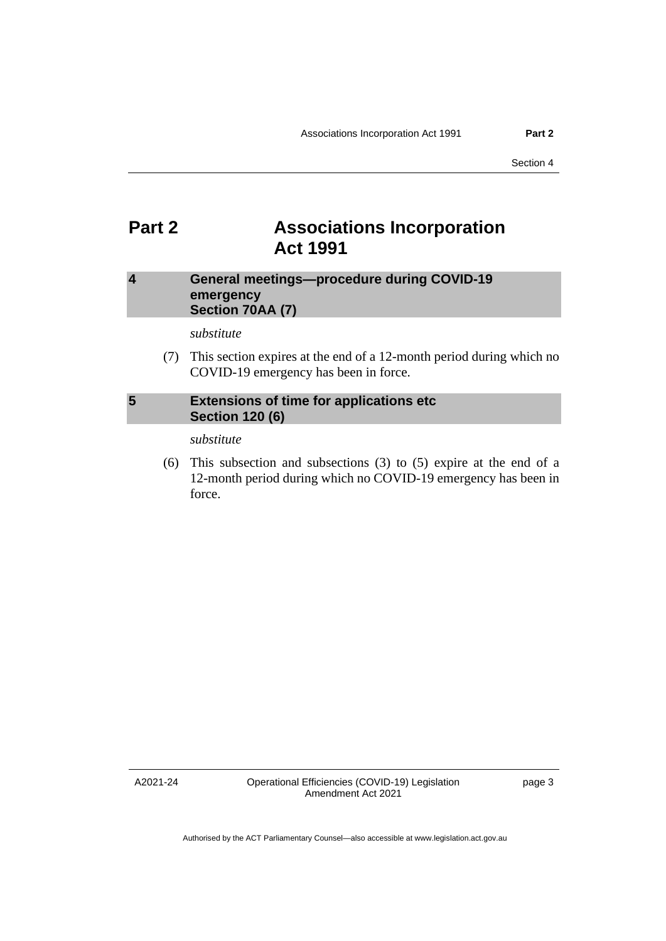# <span id="page-6-0"></span>**Part 2 Associations Incorporation Act 1991**

# <span id="page-6-1"></span>**4 General meetings—procedure during COVID-19 emergency Section 70AA (7)**

*substitute*

(7) This section expires at the end of a 12-month period during which no COVID-19 emergency has been in force.

# <span id="page-6-2"></span>**5 Extensions of time for applications etc Section 120 (6)**

*substitute*

(6) This subsection and subsections (3) to (5) expire at the end of a 12-month period during which no COVID-19 emergency has been in force.

A2021-24

Operational Efficiencies (COVID-19) Legislation Amendment Act 2021

page 3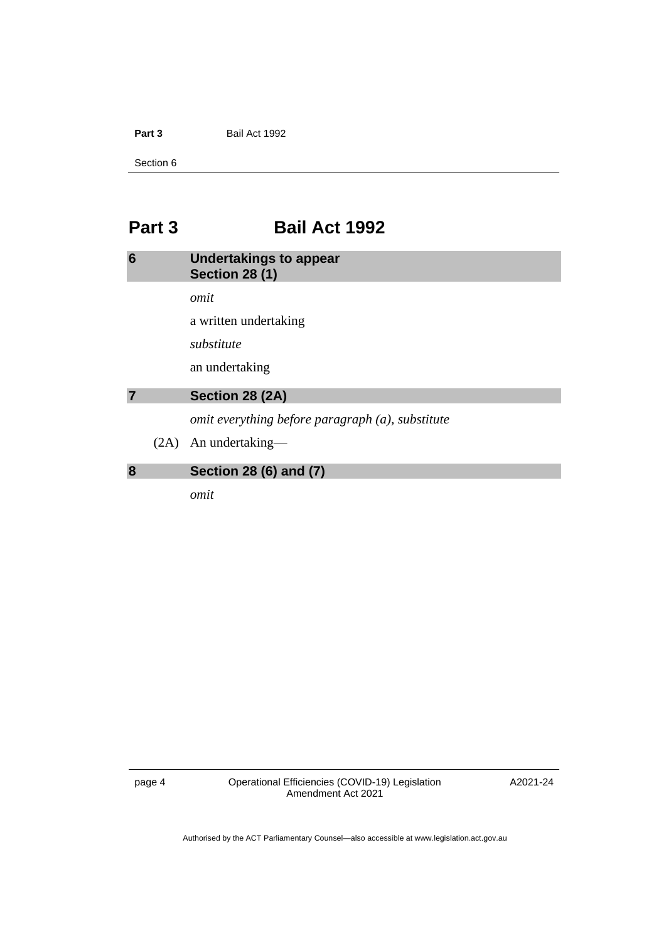**Part 3** Bail Act 1992

Section 6

# <span id="page-7-0"></span>**Part 3 Bail Act 1992**

# <span id="page-7-1"></span>**6 Undertakings to appear Section 28 (1)**

*omit*

a written undertaking

*substitute*

an undertaking

# <span id="page-7-2"></span>**7 Section 28 (2A)**

*omit everything before paragraph (a), substitute*

(2A) An undertaking—

# <span id="page-7-3"></span>**8 Section 28 (6) and (7)**

*omit*

page 4 Operational Efficiencies (COVID-19) Legislation Amendment Act 2021

A2021-24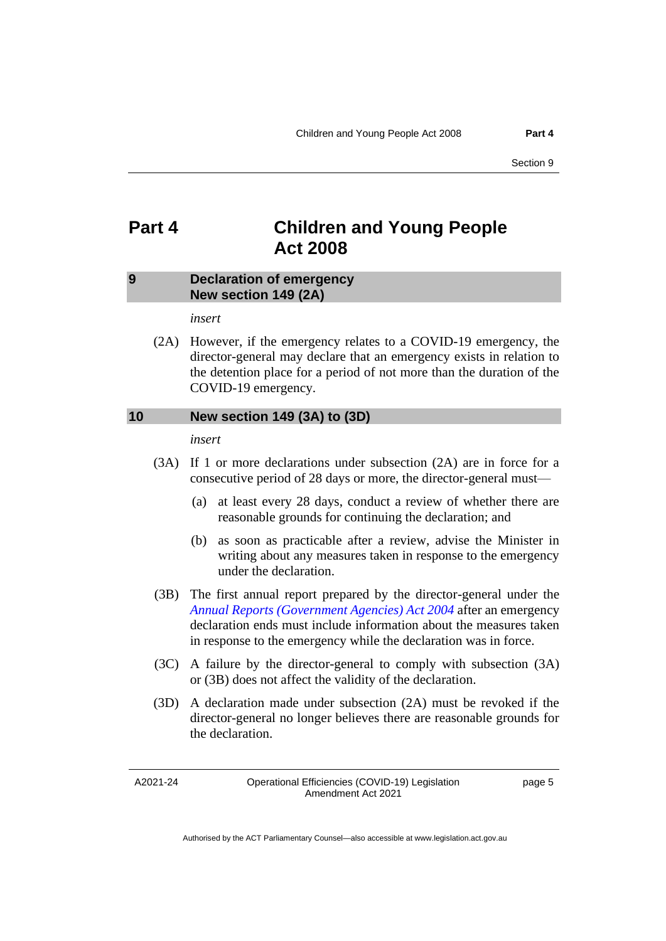# <span id="page-8-0"></span>**Part 4 Children and Young People Act 2008**

#### <span id="page-8-1"></span>**9 Declaration of emergency New section 149 (2A)**

*insert*

(2A) However, if the emergency relates to a COVID-19 emergency, the director-general may declare that an emergency exists in relation to the detention place for a period of not more than the duration of the COVID-19 emergency.

### <span id="page-8-2"></span>**10 New section 149 (3A) to (3D)**

*insert*

- (3A) If 1 or more declarations under subsection (2A) are in force for a consecutive period of 28 days or more, the director-general must—
	- (a) at least every 28 days, conduct a review of whether there are reasonable grounds for continuing the declaration; and
	- (b) as soon as practicable after a review, advise the Minister in writing about any measures taken in response to the emergency under the declaration.
- (3B) The first annual report prepared by the director-general under the *[Annual Reports \(Government Agencies\) Act 2004](http://www.legislation.act.gov.au/a/2004-8)* after an emergency declaration ends must include information about the measures taken in response to the emergency while the declaration was in force.
- (3C) A failure by the director-general to comply with subsection (3A) or (3B) does not affect the validity of the declaration.
- (3D) A declaration made under subsection (2A) must be revoked if the director-general no longer believes there are reasonable grounds for the declaration.

A2021-24

Operational Efficiencies (COVID-19) Legislation Amendment Act 2021

page 5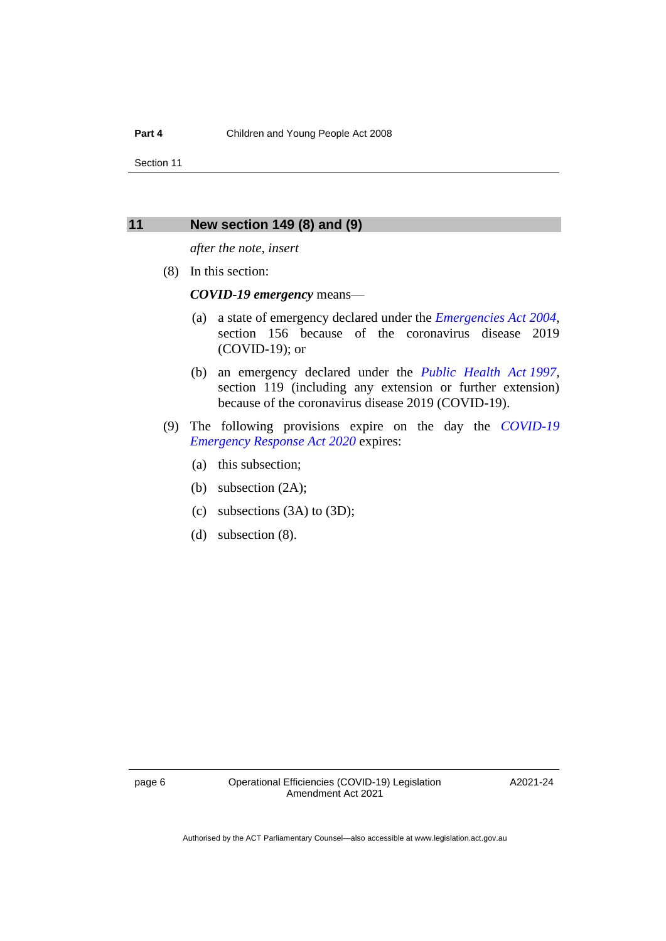## <span id="page-9-0"></span>**11 New section 149 (8) and (9)**

*after the note, insert*

(8) In this section:

*COVID-19 emergency* means—

- (a) a state of emergency declared under the *[Emergencies Act](http://www.legislation.act.gov.au/a/2004-28) 2004*, section 156 because of the coronavirus disease 2019 (COVID-19); or
- (b) an emergency declared under the *[Public Health Act](http://www.legislation.act.gov.au/a/1997-69) 1997*, section 119 (including any extension or further extension) because of the coronavirus disease 2019 (COVID-19).
- (9) The following provisions expire on the day the *[COVID-19](http://www.legislation.act.gov.au/a/2020-11)  [Emergency Response Act 2020](http://www.legislation.act.gov.au/a/2020-11)* expires:
	- (a) this subsection;
	- (b) subsection (2A);
	- (c) subsections (3A) to (3D);
	- (d) subsection (8).

A2021-24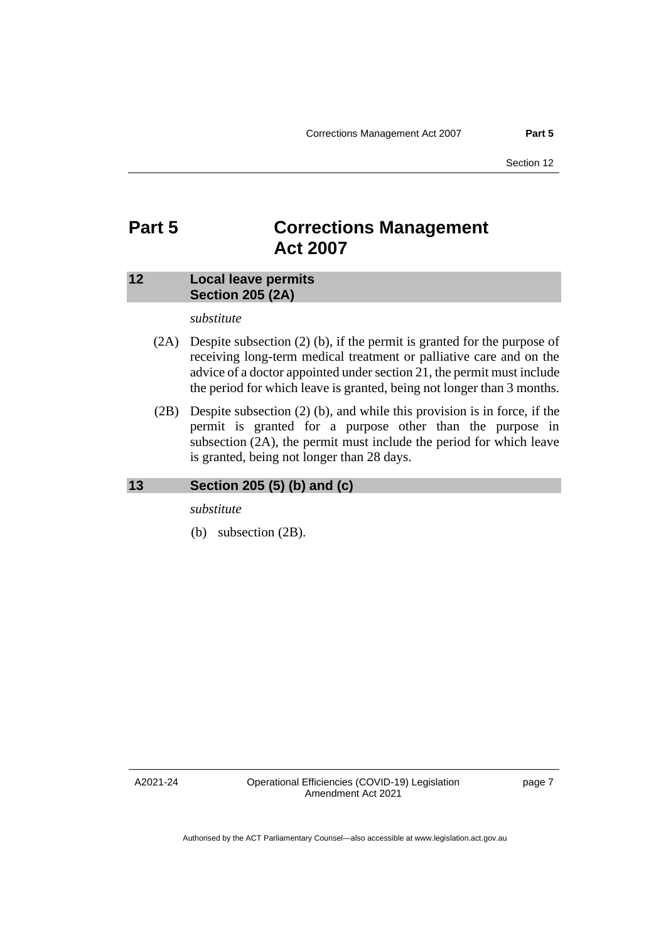# <span id="page-10-0"></span>**Part 5 Corrections Management Act 2007**

# <span id="page-10-1"></span>**12 Local leave permits Section 205 (2A)**

### *substitute*

- (2A) Despite subsection (2) (b), if the permit is granted for the purpose of receiving long-term medical treatment or palliative care and on the advice of a doctor appointed under section 21, the permit must include the period for which leave is granted, being not longer than 3 months.
- (2B) Despite subsection (2) (b), and while this provision is in force, if the permit is granted for a purpose other than the purpose in subsection (2A), the permit must include the period for which leave is granted, being not longer than 28 days.

#### <span id="page-10-2"></span>**13 Section 205 (5) (b) and (c)**

*substitute*

(b) subsection (2B).

A2021-24

page 7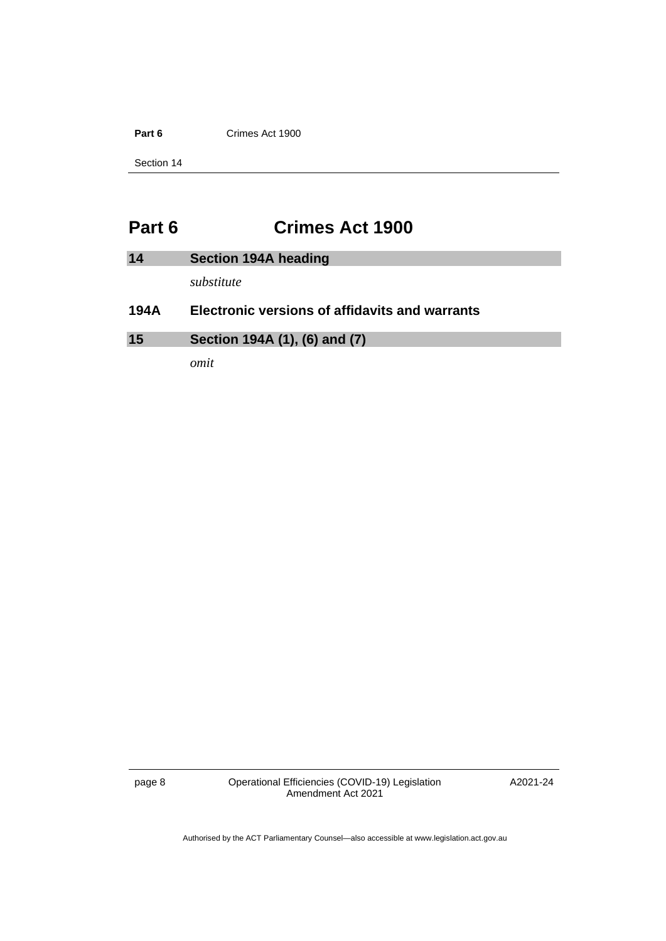**Part 6** Crimes Act 1900

Section 14

# <span id="page-11-0"></span>**Part 6 Crimes Act 1900**

<span id="page-11-2"></span><span id="page-11-1"></span>

| 14   | Section 194A heading                                  |
|------|-------------------------------------------------------|
|      | substitute                                            |
| 194A | <b>Electronic versions of affidavits and warrants</b> |
| 15   | Section 194A (1), (6) and (7)                         |

*omit*

page 8 Operational Efficiencies (COVID-19) Legislation Amendment Act 2021

A2021-24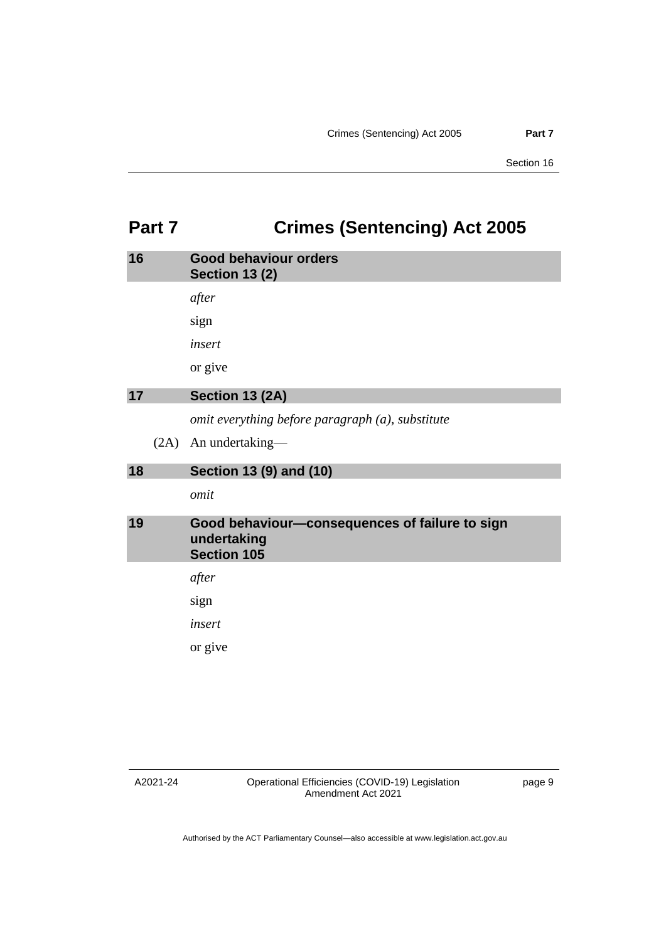# <span id="page-12-0"></span>**Part 7 Crimes (Sentencing) Act 2005**

<span id="page-12-4"></span><span id="page-12-3"></span><span id="page-12-2"></span><span id="page-12-1"></span>

| 16 |      | <b>Good behaviour orders</b><br><b>Section 13 (2)</b>                               |
|----|------|-------------------------------------------------------------------------------------|
|    |      | after                                                                               |
|    |      | sign                                                                                |
|    |      | insert                                                                              |
|    |      | or give                                                                             |
| 17 |      | Section 13 (2A)                                                                     |
|    |      | omit everything before paragraph (a), substitute                                    |
|    | (2A) | An undertaking-                                                                     |
|    |      |                                                                                     |
| 18 |      | Section 13 (9) and (10)                                                             |
|    |      | omit                                                                                |
| 19 |      | Good behaviour-consequences of failure to sign<br>undertaking<br><b>Section 105</b> |
|    |      | after                                                                               |
|    |      | sign                                                                                |
|    |      | insert                                                                              |
|    |      | or give                                                                             |

A2021-24

page 9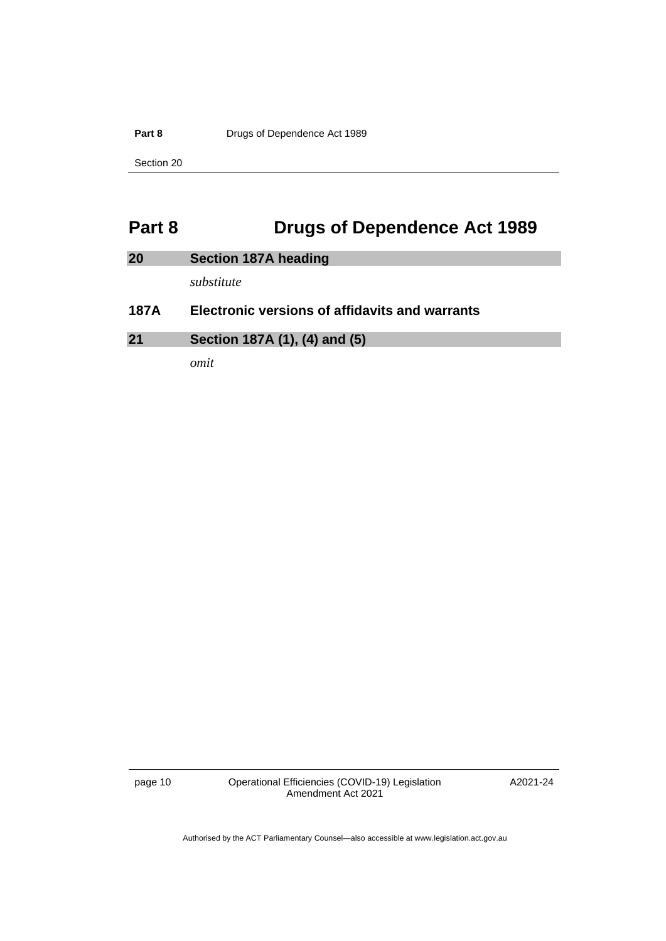**Part 8 Drugs of Dependence Act 1989** 

Section 20

# <span id="page-13-0"></span>**Part 8 Drugs of Dependence Act 1989**

<span id="page-13-2"></span><span id="page-13-1"></span>

| 20          | <b>Section 187A heading</b>                    |
|-------------|------------------------------------------------|
|             | substitute                                     |
| <b>187A</b> | Electronic versions of affidavits and warrants |
| 21          | Section 187A (1), (4) and (5)                  |

*omit*

page 10 Operational Efficiencies (COVID-19) Legislation Amendment Act 2021

A2021-24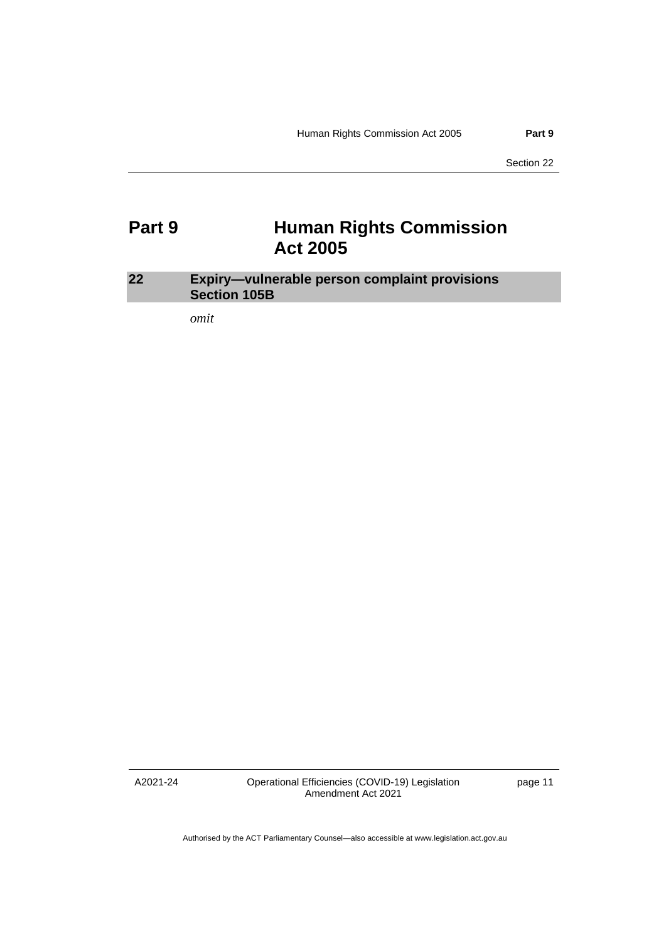# <span id="page-14-0"></span>**Part 9 Human Rights Commission Act 2005**

# <span id="page-14-1"></span>**22 Expiry—vulnerable person complaint provisions Section 105B**

*omit*

A2021-24

Operational Efficiencies (COVID-19) Legislation Amendment Act 2021

page 11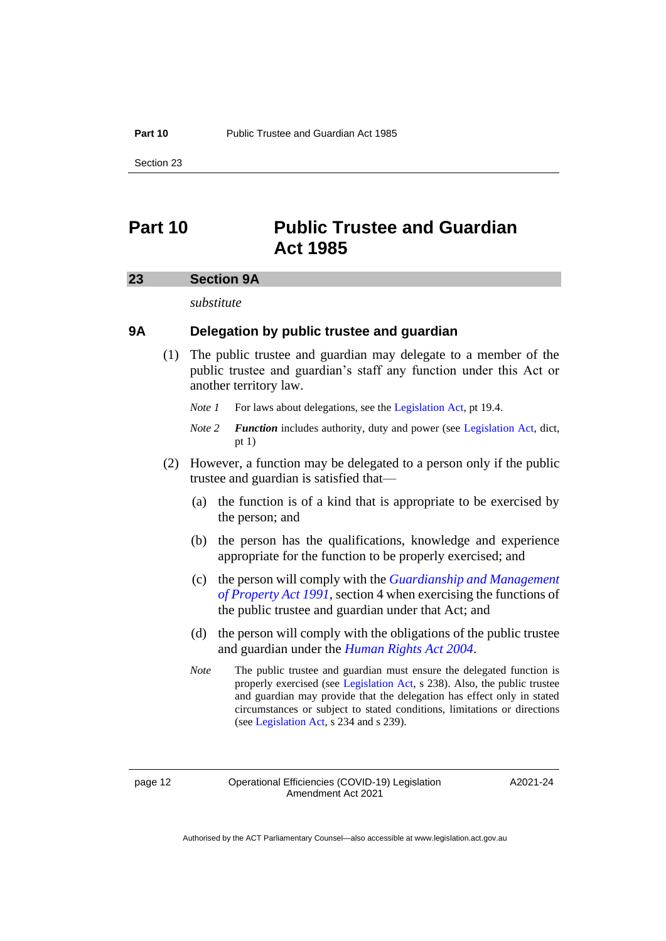#### **Part 10** Public Trustee and Guardian Act 1985

Section 23

# <span id="page-15-0"></span>**Part 10 Public Trustee and Guardian Act 1985**

#### <span id="page-15-1"></span>**23 Section 9A**

*substitute*

# **9A Delegation by public trustee and guardian**

(1) The public trustee and guardian may delegate to a member of the public trustee and guardian's staff any function under this Act or another territory law.

*Note 1* For laws about delegations, see the [Legislation Act,](http://www.legislation.act.gov.au/a/2001-14) pt 19.4.

- *Note 2 Function* includes authority, duty and power (see [Legislation Act,](http://www.legislation.act.gov.au/a/2001-14) dict, pt 1)
- (2) However, a function may be delegated to a person only if the public trustee and guardian is satisfied that—
	- (a) the function is of a kind that is appropriate to be exercised by the person; and
	- (b) the person has the qualifications, knowledge and experience appropriate for the function to be properly exercised; and
	- (c) the person will comply with the *[Guardianship and Management](http://www.legislation.act.gov.au/a/1991-62)  [of Property Act 1991](http://www.legislation.act.gov.au/a/1991-62)*, section 4 when exercising the functions of the public trustee and guardian under that Act; and
	- (d) the person will comply with the obligations of the public trustee and guardian under the *[Human Rights Act](http://www.legislation.act.gov.au/a/2004-5) 2004*.
	- *Note* The public trustee and guardian must ensure the delegated function is properly exercised (see [Legislation Act,](http://www.legislation.act.gov.au/a/2001-14) s 238). Also, the public trustee and guardian may provide that the delegation has effect only in stated circumstances or subject to stated conditions, limitations or directions (se[e Legislation Act,](http://www.legislation.act.gov.au/a/2001-14) s 234 and s 239).

A2021-24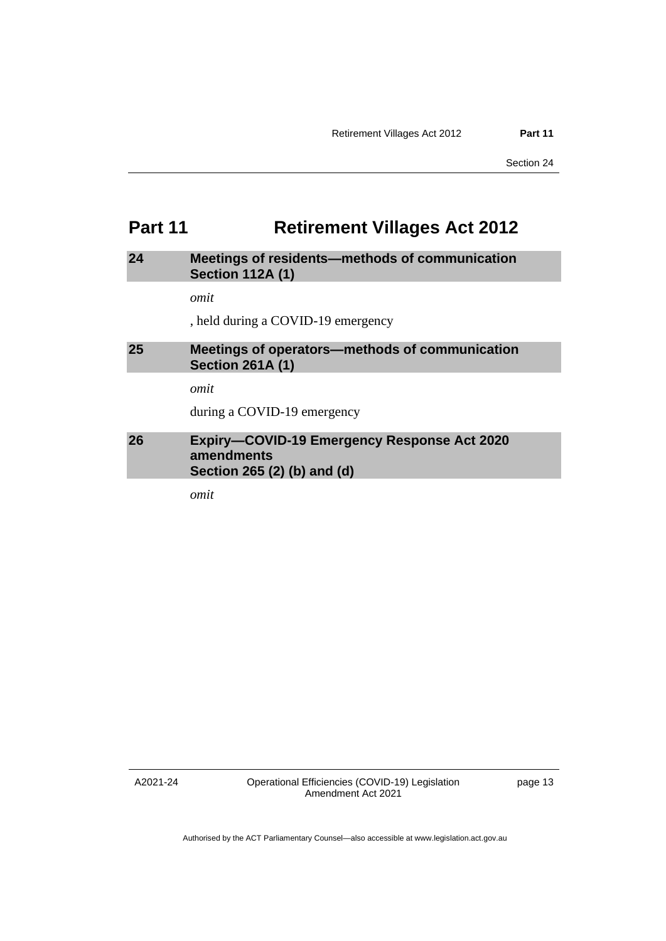# <span id="page-16-0"></span>**Part 11 Retirement Villages Act 2012**

# <span id="page-16-1"></span>**24 Meetings of residents—methods of communication Section 112A (1)**

*omit*

, held during a COVID-19 emergency

# <span id="page-16-2"></span>**25 Meetings of operators—methods of communication Section 261A (1)**

*omit*

during a COVID-19 emergency

# <span id="page-16-3"></span>**26 Expiry—COVID-19 Emergency Response Act 2020 amendments Section 265 (2) (b) and (d)**

*omit*

A2021-24

Operational Efficiencies (COVID-19) Legislation Amendment Act 2021

page 13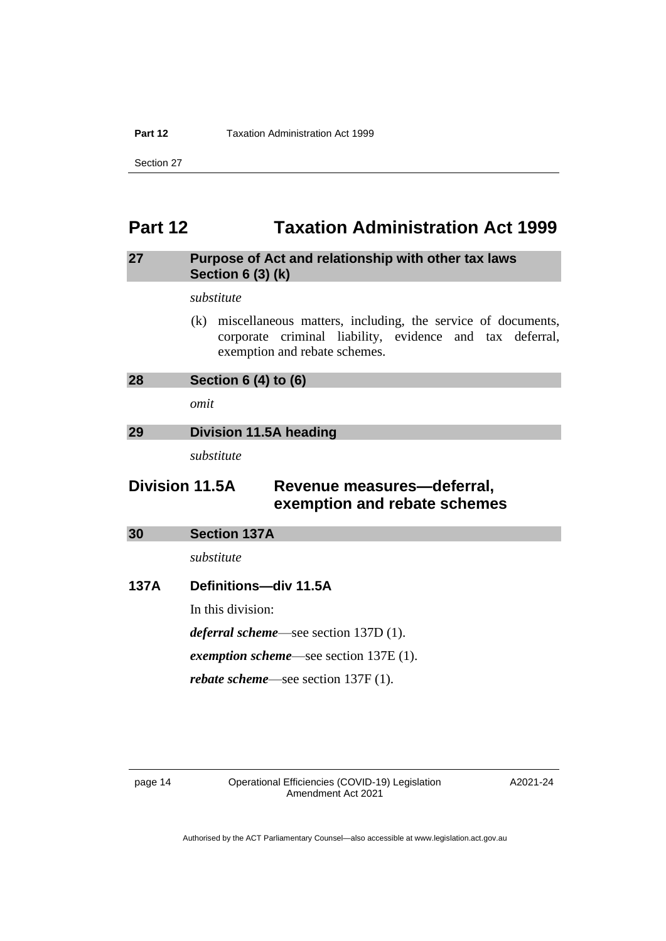#### **Part 12** Taxation Administration Act 1999

Section 27

# <span id="page-17-0"></span>**Part 12 Taxation Administration Act 1999**

# <span id="page-17-1"></span>**27 Purpose of Act and relationship with other tax laws Section 6 (3) (k)**

*substitute*

(k) miscellaneous matters, including, the service of documents, corporate criminal liability, evidence and tax deferral, exemption and rebate schemes.

<span id="page-17-2"></span>

| 28 | Section $6(4)$ to $(6)$ |
|----|-------------------------|
|    |                         |

*omit*

# <span id="page-17-3"></span>**29 Division 11.5A heading**

*substitute*

# **Division 11.5A Revenue measures—deferral, exemption and rebate schemes**

<span id="page-17-4"></span>

| <b>Section 137A</b> |  |
|---------------------|--|
|                     |  |

*substitute*

# **137A Definitions—div 11.5A**

In this division:

*deferral scheme*—see section 137D (1).

*exemption scheme*—see section 137E (1).

*rebate scheme*—see section 137F (1).

A2021-24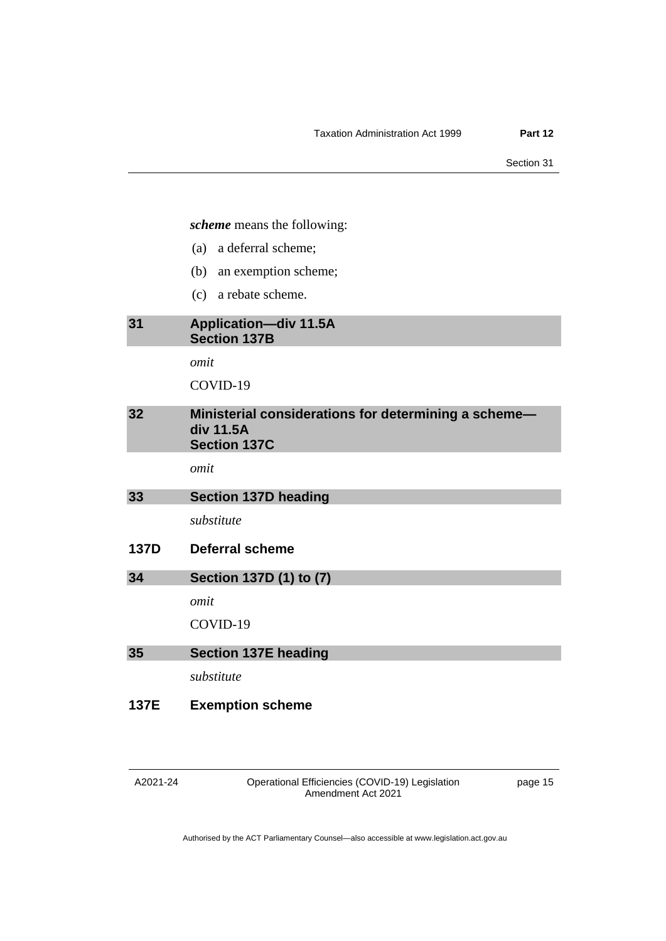*scheme* means the following:

- (a) a deferral scheme;
- (b) an exemption scheme;
- (c) a rebate scheme.

# <span id="page-18-0"></span>**31 Application—div 11.5A Section 137B**

*omit*

COVID-19

<span id="page-18-1"></span>

| 32 | Ministerial considerations for determining a scheme-<br>div 11.5A<br><b>Section 137C</b> |
|----|------------------------------------------------------------------------------------------|
|    |                                                                                          |

*omit*

<span id="page-18-2"></span>

| 33 | <b>Section 137D heading</b> |
|----|-----------------------------|
|----|-----------------------------|

*substitute*

**137D Deferral scheme**

<span id="page-18-3"></span>

| 34 | Section 137D (1) to (7) |
|----|-------------------------|
|    | omit                    |
|    | COVID-19                |

<span id="page-18-4"></span>

| 35 |  | <b>Section 137E heading</b> |  |
|----|--|-----------------------------|--|
|    |  |                             |  |

*substitute*

**137E Exemption scheme**

Operational Efficiencies (COVID-19) Legislation Amendment Act 2021

page 15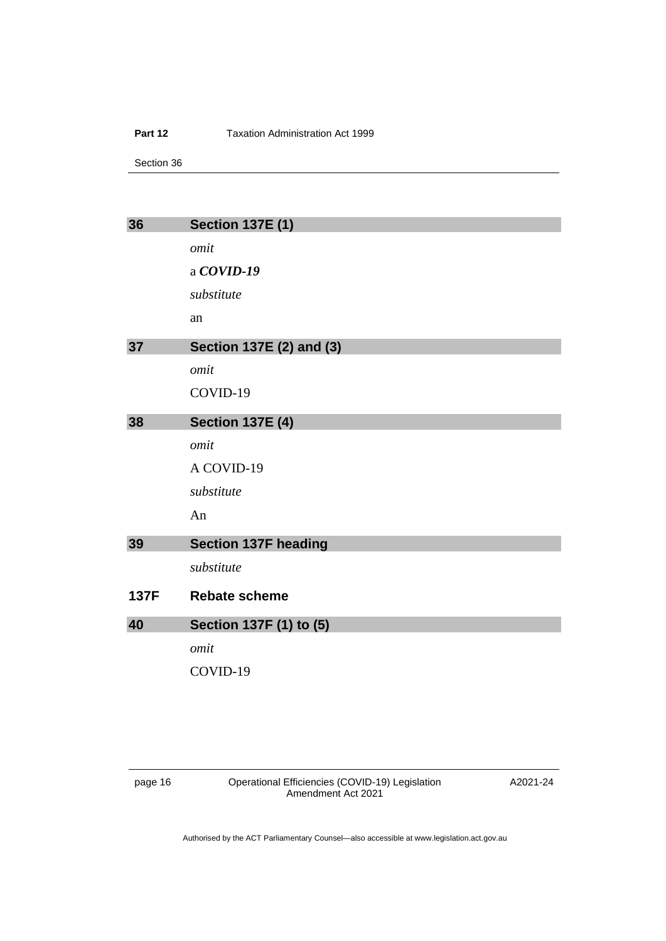#### **Part 12 Taxation Administration Act 1999**

Section 36

<span id="page-19-2"></span><span id="page-19-1"></span><span id="page-19-0"></span>

| 36          | <b>Section 137E (1)</b>     |
|-------------|-----------------------------|
|             | omit                        |
|             | a $COVID-19$                |
|             | substitute                  |
|             | an                          |
| 37          | Section 137E (2) and (3)    |
|             | omit                        |
|             | COVID-19                    |
| 38          | <b>Section 137E (4)</b>     |
|             | omit                        |
|             | A COVID-19                  |
|             | substitute                  |
|             | An                          |
| 39          | <b>Section 137F heading</b> |
|             | substitute                  |
| <b>137F</b> | <b>Rebate scheme</b>        |
| 40          | Section 137F (1) to (5)     |
|             | omit                        |
|             | COVID-19                    |
|             |                             |

<span id="page-19-4"></span><span id="page-19-3"></span>page 16 Operational Efficiencies (COVID-19) Legislation Amendment Act 2021

A2021-24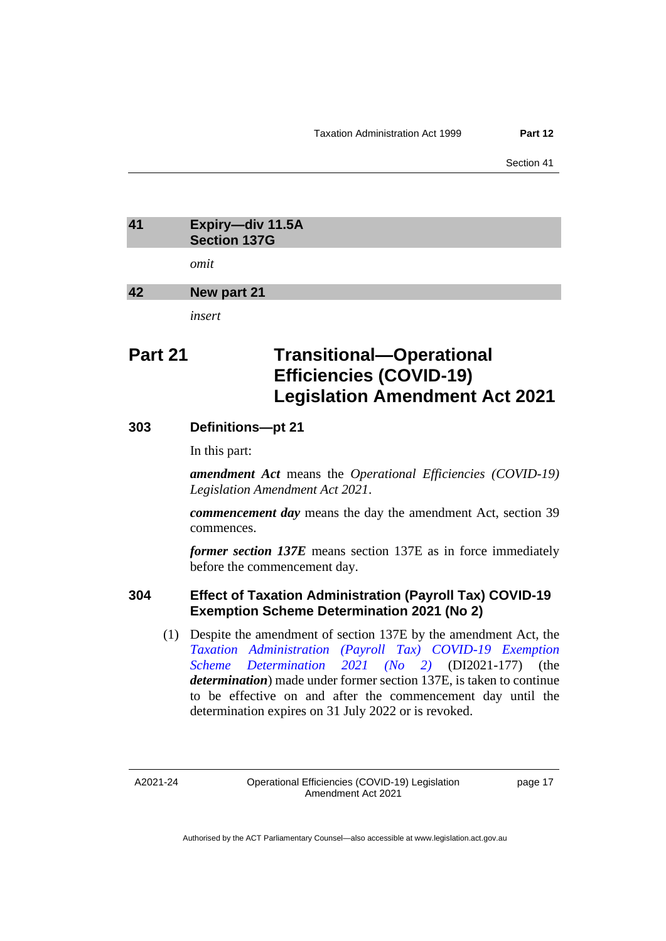# <span id="page-20-0"></span>**41 Expiry—div 11.5A Section 137G**

*omit*

### <span id="page-20-1"></span>**42 New part 21**

*insert*

# **Part 21 Transitional—Operational Efficiencies (COVID-19) Legislation Amendment Act 2021**

# **303 Definitions—pt 21**

In this part:

*amendment Act* means the *Operational Efficiencies (COVID-19) Legislation Amendment Act 2021*.

*commencement day* means the day the amendment Act, section 39 commences.

*former section 137E* means section 137E as in force immediately before the commencement day.

# **304 Effect of Taxation Administration (Payroll Tax) COVID-19 Exemption Scheme Determination 2021 (No 2)**

(1) Despite the amendment of section 137E by the amendment Act, the *[Taxation Administration \(Payroll Tax\) COVID-19 Exemption](https://legislation.act.gov.au/di/2021-177/)  [Scheme Determination 2021 \(No 2\)](https://legislation.act.gov.au/di/2021-177/)* (DI2021-177) (the *determination*) made under former section 137E, is taken to continue to be effective on and after the commencement day until the determination expires on 31 July 2022 or is revoked.

A2021-24

page 17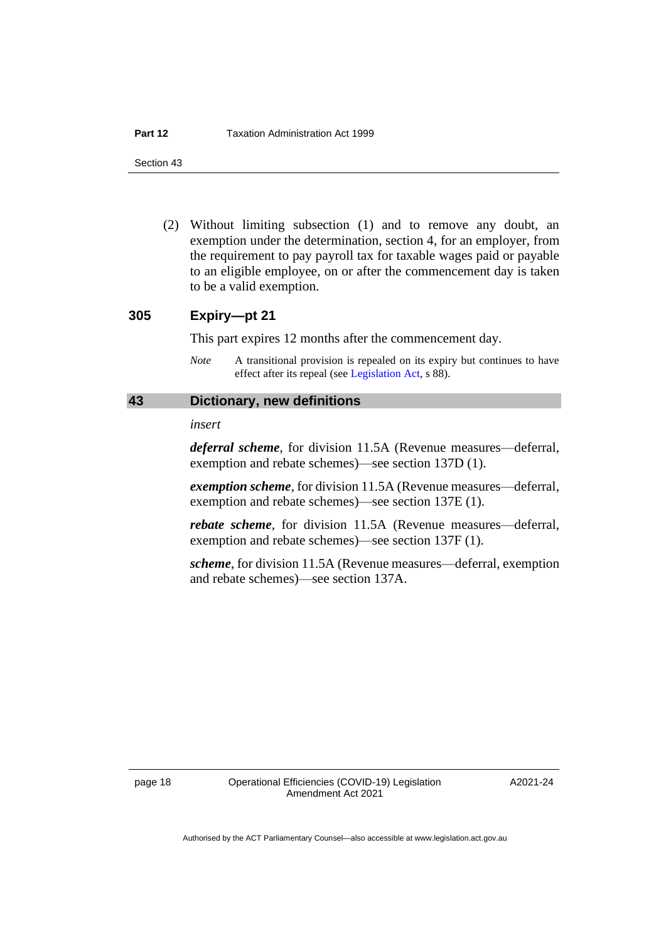(2) Without limiting subsection (1) and to remove any doubt, an exemption under the determination, section 4, for an employer, from the requirement to pay payroll tax for taxable wages paid or payable to an eligible employee, on or after the commencement day is taken to be a valid exemption.

## **305 Expiry—pt 21**

This part expires 12 months after the commencement day.

*Note* A transitional provision is repealed on its expiry but continues to have effect after its repeal (se[e Legislation Act,](http://www.legislation.act.gov.au/a/2001-14) s 88).

## <span id="page-21-0"></span>**43 Dictionary, new definitions**

#### *insert*

*deferral scheme*, for division 11.5A (Revenue measures—deferral, exemption and rebate schemes)—see section 137D (1).

*exemption scheme*, for division 11.5A (Revenue measures—deferral, exemption and rebate schemes)—see section 137E (1).

*rebate scheme*, for division 11.5A (Revenue measures—deferral, exemption and rebate schemes)—see section 137F (1).

*scheme*, for division 11.5A (Revenue measures—deferral, exemption and rebate schemes)—see section 137A.

A2021-24